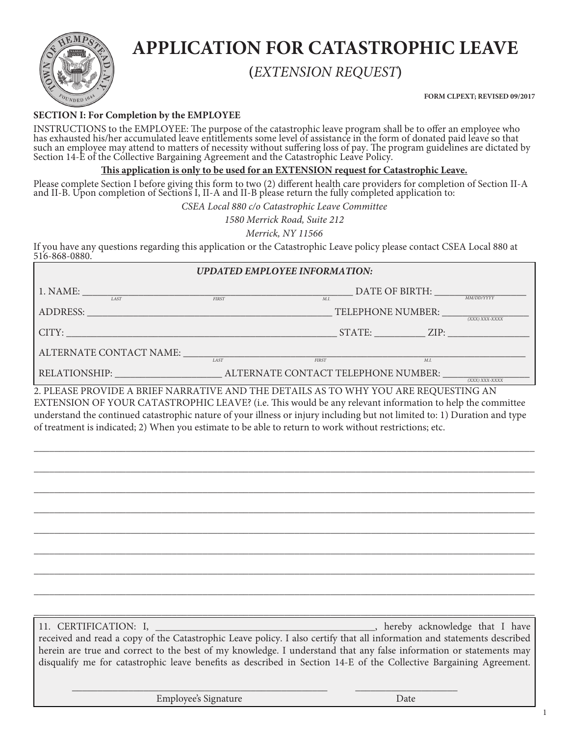

# **APPLICATION FOR CATASTROPHIC LEAVE**

## **(***EXTENSION REQUEST***)**

**FORM CLPEXT; REVISED 09/2017**

### **SECTION I: For Completion by the EMPLOYEE**

INSTRUCTIONS to the EMPLOYEE: The purpose of the catastrophic leave program shall be to offer an employee who has exhausted his/her accumulated leave entitlements some level of assistance in the form of donated paid leave so that such an employee may attend to matters of necessity without suffering loss of pay. The program guidelines are dictated by Section 14-E of the Collective Bargaining Agreement and the Catastrophic Leave Policy.

#### **This application is only to be used for an EXTENSION request for Catastrophic Leave.**

Please complete Section I before giving this form to two (2) different health care providers for completion of Section II-A and II-B. Upon completion of Sections I, II-A and II-B please return the fully completed application to:

*CSEA Local 880 c/o Catastrophic Leave Committee*

*1580 Merrick Road, Suite 212*

*Merrick, NY 11566*

If you have any questions regarding this application or the Catastrophic Leave policy please contact CSEA Local 880 at 516-868-0880.

### *UPDATED EMPLOYEE INFORMATION:*

| 1. NAME:<br>LAST                                                                                      | <b>FIRST</b> | DATE OF BIRTH:<br>M.I.              |      | <i>MM/DD/YYYY</i> |  |
|-------------------------------------------------------------------------------------------------------|--------------|-------------------------------------|------|-------------------|--|
| <b>ADDRESS:</b>                                                                                       |              | TELEPHONE NUMBER:                   |      | (XXX) XXX-XXXX    |  |
| CITY:                                                                                                 |              | STATE:                              | ZIP: |                   |  |
| ALTERNATE CONTACT NAME:                                                                               | <b>LAST</b>  | <b>FIRST</b>                        | M.I  |                   |  |
| <b>RELATIONSHIP:</b>                                                                                  |              | ALTERNATE CONTACT TELEPHONE NUMBER: |      | (XXX) XXX-XXXX    |  |
| $\gamma$ di eace dd $\alpha$ vide a ddieeniaddatuve and the detaile ac to why voll ade deoliecting an |              |                                     |      |                   |  |

LEASE PROVIDE A BRIEF NARRATIVE AND THE DETAILS AS TO WHY YOU ARE REQUESTING AN EXTENSION OF YOUR CATASTROPHIC LEAVE? (i.e. This would be any relevant information to help the committee understand the continued catastrophic nature of your illness or injury including but not limited to: 1) Duration and type of treatment is indicated; 2) When you estimate to be able to return to work without restrictions; etc.

\_\_\_\_\_\_\_\_\_\_\_\_\_\_\_\_\_\_\_\_\_\_\_\_\_\_\_\_\_\_\_\_\_\_\_\_\_\_\_\_\_\_\_\_\_\_\_\_\_\_\_\_\_\_\_\_\_\_\_\_\_\_\_\_\_\_\_\_\_\_\_\_\_\_\_\_\_\_\_\_\_\_\_\_\_\_\_\_\_\_\_\_\_\_\_\_\_\_

\_\_\_\_\_\_\_\_\_\_\_\_\_\_\_\_\_\_\_\_\_\_\_\_\_\_\_\_\_\_\_\_\_\_\_\_\_\_\_\_\_\_\_\_\_\_\_\_\_\_\_\_\_\_\_\_\_\_\_\_\_\_\_\_\_\_\_\_\_\_\_\_\_\_\_\_\_\_\_\_\_\_\_\_\_\_\_\_\_\_\_\_\_\_\_\_\_\_

\_\_\_\_\_\_\_\_\_\_\_\_\_\_\_\_\_\_\_\_\_\_\_\_\_\_\_\_\_\_\_\_\_\_\_\_\_\_\_\_\_\_\_\_\_\_\_\_\_\_\_\_\_\_\_\_\_\_\_\_\_\_\_\_\_\_\_\_\_\_\_\_\_\_\_\_\_\_\_\_\_\_\_\_\_\_\_\_\_\_\_\_\_\_\_\_\_\_

\_\_\_\_\_\_\_\_\_\_\_\_\_\_\_\_\_\_\_\_\_\_\_\_\_\_\_\_\_\_\_\_\_\_\_\_\_\_\_\_\_\_\_\_\_\_\_\_\_\_\_\_\_\_\_\_\_\_\_\_\_\_\_\_\_\_\_\_\_\_\_\_\_\_\_\_\_\_\_\_\_\_\_\_\_\_\_\_\_\_\_\_\_\_\_\_\_\_

\_\_\_\_\_\_\_\_\_\_\_\_\_\_\_\_\_\_\_\_\_\_\_\_\_\_\_\_\_\_\_\_\_\_\_\_\_\_\_\_\_\_\_\_\_\_\_\_\_\_\_\_\_\_\_\_\_\_\_\_\_\_\_\_\_\_\_\_\_\_\_\_\_\_\_\_\_\_\_\_\_\_\_\_\_\_\_\_\_\_\_\_\_\_\_\_\_\_

\_\_\_\_\_\_\_\_\_\_\_\_\_\_\_\_\_\_\_\_\_\_\_\_\_\_\_\_\_\_\_\_\_\_\_\_\_\_\_\_\_\_\_\_\_\_\_\_\_\_\_\_\_\_\_\_\_\_\_\_\_\_\_\_\_\_\_\_\_\_\_\_\_\_\_\_\_\_\_\_\_\_\_\_\_\_\_\_\_\_\_\_\_\_\_\_\_\_

\_\_\_\_\_\_\_\_\_\_\_\_\_\_\_\_\_\_\_\_\_\_\_\_\_\_\_\_\_\_\_\_\_\_\_\_\_\_\_\_\_\_\_\_\_\_\_\_\_\_\_\_\_\_\_\_\_\_\_\_\_\_\_\_\_\_\_\_\_\_\_\_\_\_\_\_\_\_\_\_\_\_\_\_\_\_\_\_\_\_\_\_\_\_\_\_\_\_

\_\_\_\_\_\_\_\_\_\_\_\_\_\_\_\_\_\_\_\_\_\_\_\_\_\_\_\_\_\_\_\_\_\_\_\_\_\_\_\_\_\_\_\_\_\_\_\_\_\_\_\_\_\_\_\_\_\_\_\_\_\_\_\_\_\_\_\_\_\_\_\_\_\_\_\_\_\_\_\_\_\_\_\_\_\_\_\_\_\_\_\_\_\_\_\_\_\_

\_\_\_\_\_\_\_\_\_\_\_\_\_\_\_\_\_\_\_\_\_\_\_\_\_\_\_\_\_\_\_\_\_\_\_\_\_\_\_\_\_\_\_\_\_\_\_\_\_\_\_\_\_\_\_\_\_\_\_\_\_\_\_\_\_\_\_\_\_\_\_\_\_\_\_\_\_\_\_\_\_\_\_\_\_\_\_\_\_\_\_\_\_\_\_\_\_\_

11. CERTIFICATION: I, \_\_\_\_\_\_\_\_\_\_\_\_\_\_\_\_\_\_\_\_\_\_\_\_\_\_\_\_\_\_\_\_\_\_\_\_\_\_\_\_\_\_\_, hereby acknowledge that I have

received and read a copy of the Catastrophic Leave policy. I also certify that all information and statements described herein are true and correct to the best of my knowledge. I understand that any false information or statements may disqualify me for catastrophic leave benefits as described in Section 14-E of the Collective Bargaining Agreement.

\_\_\_\_\_\_\_\_\_\_\_\_\_\_\_\_\_\_\_\_\_\_\_\_\_\_\_\_\_\_\_\_\_\_\_\_\_\_\_\_\_\_\_\_\_\_\_\_\_\_ \_\_\_\_\_\_\_\_\_\_\_\_\_\_\_\_\_\_\_\_

Employee's Signature Date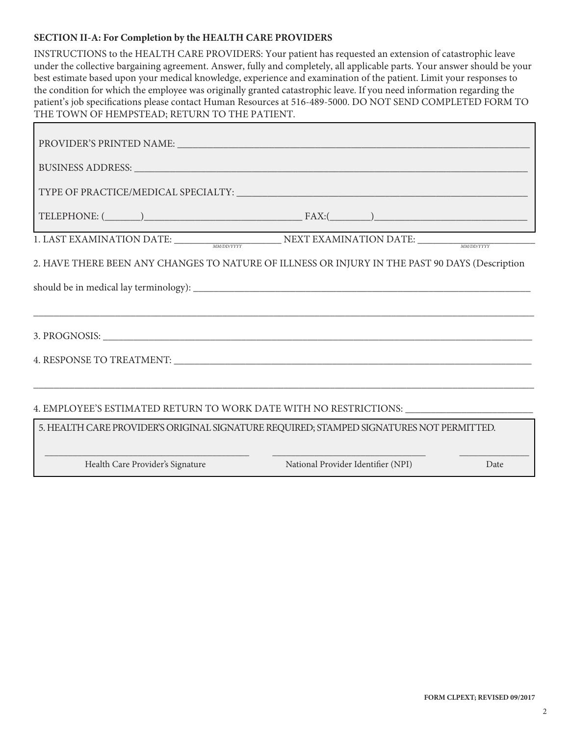### **SECTION II-A: For Completion by the HEALTH CARE PROVIDERS**

| INSTRUCTIONS to the HEALTH CARE PROVIDERS: Your patient has requested an extension of catastrophic leave<br>under the collective bargaining agreement. Answer, fully and completely, all applicable parts. Your answer should be your<br>best estimate based upon your medical knowledge, experience and examination of the patient. Limit your responses to<br>the condition for which the employee was originally granted catastrophic leave. If you need information regarding the<br>patient's job specifications please contact Human Resources at 516-489-5000. DO NOT SEND COMPLETED FORM TO<br>THE TOWN OF HEMPSTEAD; RETURN TO THE PATIENT. |  |  |  |  |  |
|------------------------------------------------------------------------------------------------------------------------------------------------------------------------------------------------------------------------------------------------------------------------------------------------------------------------------------------------------------------------------------------------------------------------------------------------------------------------------------------------------------------------------------------------------------------------------------------------------------------------------------------------------|--|--|--|--|--|
|                                                                                                                                                                                                                                                                                                                                                                                                                                                                                                                                                                                                                                                      |  |  |  |  |  |
|                                                                                                                                                                                                                                                                                                                                                                                                                                                                                                                                                                                                                                                      |  |  |  |  |  |
| BUSINESS ADDRESS: University of the SUSINESS ADDRESS:                                                                                                                                                                                                                                                                                                                                                                                                                                                                                                                                                                                                |  |  |  |  |  |
|                                                                                                                                                                                                                                                                                                                                                                                                                                                                                                                                                                                                                                                      |  |  |  |  |  |
| $\text{TELEPHONE:} \text{ } (\underline{\hspace{1cm}}) \text{ } \underline{\hspace{1cm}} \text{ } \text{FAX:} (\underline{\hspace{1cm}}) \text{ } \underline{\hspace{1cm}})$                                                                                                                                                                                                                                                                                                                                                                                                                                                                         |  |  |  |  |  |
| 1. LAST EXAMINATION DATE: MANDDYFYY NEXT EXAMINATION DATE: MANDDYFYY                                                                                                                                                                                                                                                                                                                                                                                                                                                                                                                                                                                 |  |  |  |  |  |
| 2. HAVE THERE BEEN ANY CHANGES TO NATURE OF ILLNESS OR INJURY IN THE PAST 90 DAYS (Description                                                                                                                                                                                                                                                                                                                                                                                                                                                                                                                                                       |  |  |  |  |  |
|                                                                                                                                                                                                                                                                                                                                                                                                                                                                                                                                                                                                                                                      |  |  |  |  |  |
|                                                                                                                                                                                                                                                                                                                                                                                                                                                                                                                                                                                                                                                      |  |  |  |  |  |
| 4. RESPONSE TO TREATMENT: UNIVERSITY OF A SERIES OF A SERIES OF A SERIES OF A SERIES OF A SERIES OF A SERIES OF A SERIES OF A SERIES OF A SERIES OF A SERIES OF A SERIES OF A SERIES OF A SERIES OF A SERIES OF A SERIES OF A                                                                                                                                                                                                                                                                                                                                                                                                                        |  |  |  |  |  |
| 4. EMPLOYEE'S ESTIMATED RETURN TO WORK DATE WITH NO RESTRICTIONS: University of the STRICTIONS:                                                                                                                                                                                                                                                                                                                                                                                                                                                                                                                                                      |  |  |  |  |  |
| 5. HEALTH CARE PROVIDER'S ORIGINAL SIGNATURE REQUIRED; STAMPED SIGNATURES NOT PERMITTED.                                                                                                                                                                                                                                                                                                                                                                                                                                                                                                                                                             |  |  |  |  |  |
| Health Care Provider's Signature<br>National Provider Identifier (NPI)<br>Date                                                                                                                                                                                                                                                                                                                                                                                                                                                                                                                                                                       |  |  |  |  |  |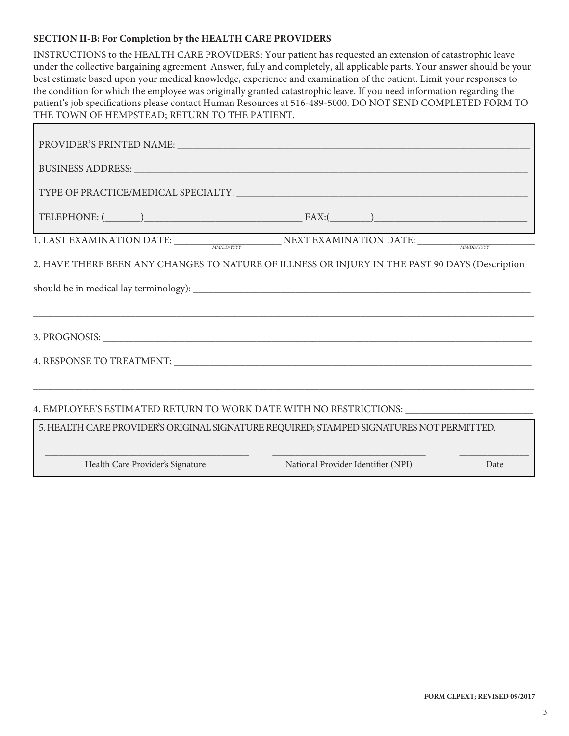### **SECTION II-B: For Completion by the HEALTH CARE PROVIDERS**

| INSTRUCTIONS to the HEALTH CARE PROVIDERS: Your patient has requested an extension of catastrophic leave<br>under the collective bargaining agreement. Answer, fully and completely, all applicable parts. Your answer should be your<br>best estimate based upon your medical knowledge, experience and examination of the patient. Limit your responses to<br>the condition for which the employee was originally granted catastrophic leave. If you need information regarding the<br>patient's job specifications please contact Human Resources at 516-489-5000. DO NOT SEND COMPLETED FORM TO<br>THE TOWN OF HEMPSTEAD; RETURN TO THE PATIENT. |  |  |  |  |  |
|------------------------------------------------------------------------------------------------------------------------------------------------------------------------------------------------------------------------------------------------------------------------------------------------------------------------------------------------------------------------------------------------------------------------------------------------------------------------------------------------------------------------------------------------------------------------------------------------------------------------------------------------------|--|--|--|--|--|
|                                                                                                                                                                                                                                                                                                                                                                                                                                                                                                                                                                                                                                                      |  |  |  |  |  |
| BUSINESS ADDRESS: University of the Second Contract of the Second Contract of the Second Contract of the Second Contract of the Second Contract of the Second Contract of the Second Contract of the Second Contract of the Se                                                                                                                                                                                                                                                                                                                                                                                                                       |  |  |  |  |  |
|                                                                                                                                                                                                                                                                                                                                                                                                                                                                                                                                                                                                                                                      |  |  |  |  |  |
|                                                                                                                                                                                                                                                                                                                                                                                                                                                                                                                                                                                                                                                      |  |  |  |  |  |
| <u> 1989 - Johann Barnett, fransk politik (</u><br>1. LAST EXAMINATION DATE: NEXT EXAMINATION DATE:                                                                                                                                                                                                                                                                                                                                                                                                                                                                                                                                                  |  |  |  |  |  |
| 2. HAVE THERE BEEN ANY CHANGES TO NATURE OF ILLNESS OR INJURY IN THE PAST 90 DAYS (Description                                                                                                                                                                                                                                                                                                                                                                                                                                                                                                                                                       |  |  |  |  |  |
|                                                                                                                                                                                                                                                                                                                                                                                                                                                                                                                                                                                                                                                      |  |  |  |  |  |
| 4. RESPONSE TO TREATMENT: LATER AND THE SERIES OF THE SERIES OF THE SERIES OF THE SERIES OF THE SERIES OF THE SERIES OF THE SERIES OF THE SERIES OF THE SERIES OF THE SERIES OF THE SERIES OF THE SERIES OF THE SERIES OF THE                                                                                                                                                                                                                                                                                                                                                                                                                        |  |  |  |  |  |
| 4. EMPLOYEE'S ESTIMATED RETURN TO WORK DATE WITH NO RESTRICTIONS: ______________                                                                                                                                                                                                                                                                                                                                                                                                                                                                                                                                                                     |  |  |  |  |  |
| 5. HEALTH CARE PROVIDER'S ORIGINAL SIGNATURE REQUIRED; STAMPED SIGNATURES NOT PERMITTED.                                                                                                                                                                                                                                                                                                                                                                                                                                                                                                                                                             |  |  |  |  |  |
| Health Care Provider's Signature<br>National Provider Identifier (NPI)<br>Date                                                                                                                                                                                                                                                                                                                                                                                                                                                                                                                                                                       |  |  |  |  |  |